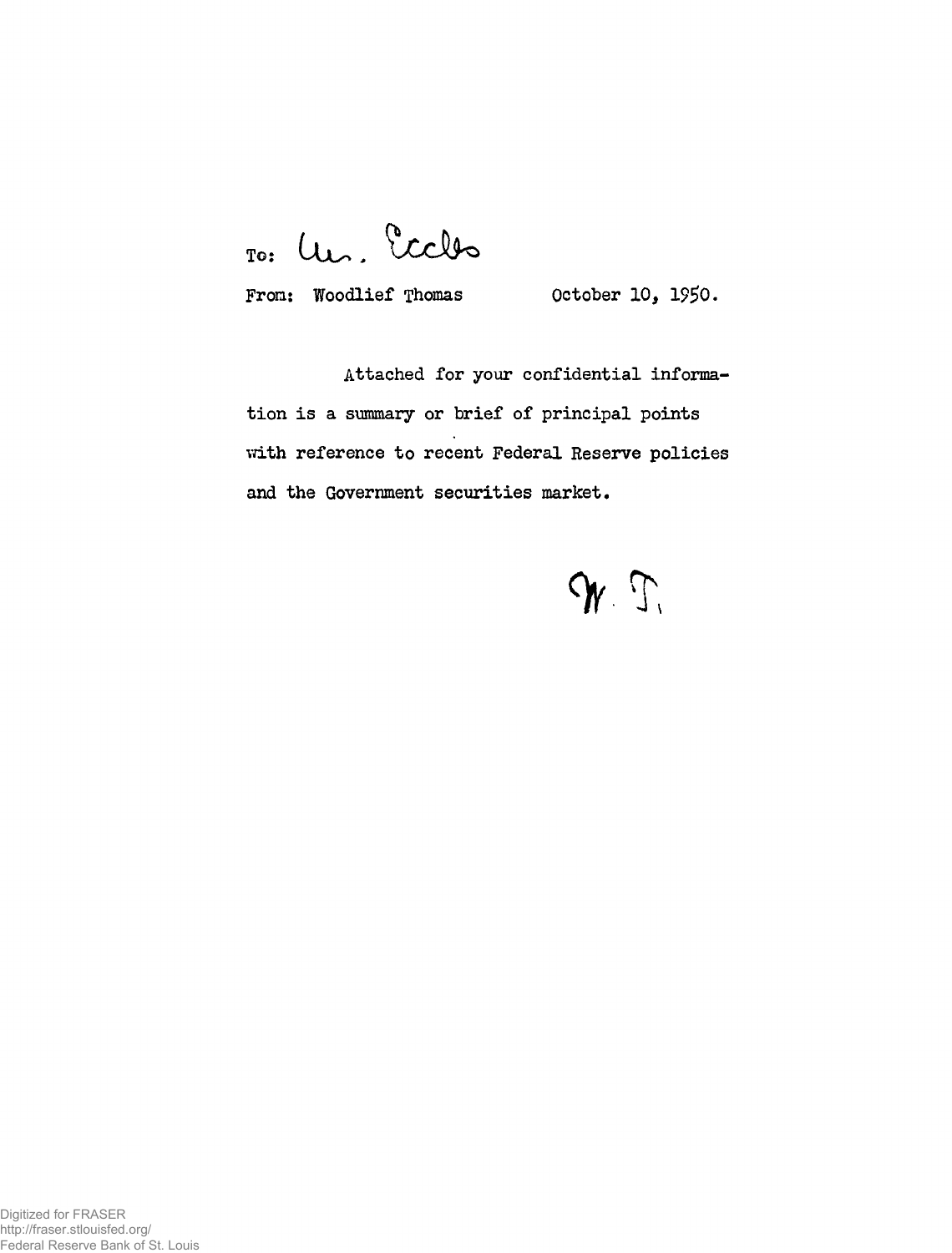To: Un. Eccles

From: Woodlief Thomas October 10, 1950.

Attached for your confidential information is a summary or brief of principal points with reference to recent Federal Reserve policies and the Government securities market.

 $95.7$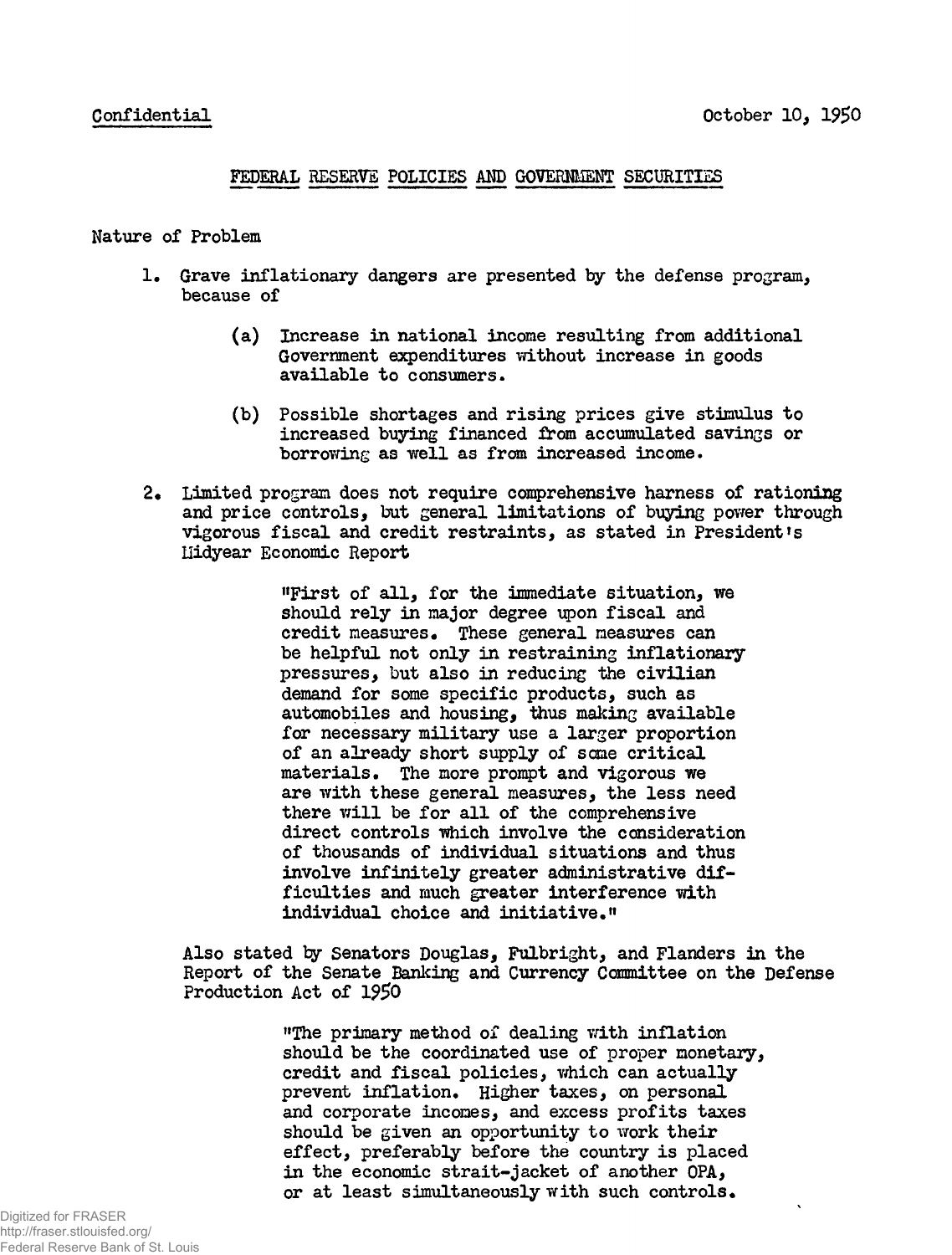## FEDERAL RESERVE POLICIES AMD GOVERNMENT SECURITIES

## Nature of Problem

- 1. Grave inflationary dangers are presented by the defense program. because of
	- (a) Increase in national income resulting from additional Government expenditures without increase in goods available to consumers.
	- (b) Possible shortages and rising prices give stimulus to increased buying financed from accumulated savings or borrowing as well as from increased income.
- 2. Limited program does not require comprehensive harness of rationing and price controls, but general limitations of buying power through vigorous fiscal and credit restraints, as stated in President's Liidyear Economic Report

"First of all, for the immediate situation, we should rely in major degree upon fiscal and credit measures. These general measures can be helpful not only in restraining inflationary pressures, but also in reducing the civilian demand for some specific products, such as automobiles and housing, thus making available for necessary military use a larger proportion of an already short supply of some critical materials. The more prompt and vigorous we are with these general measures, the less need there will be for all of the comprehensive direct controls which involve the consideration of thousands of individual situations and thus involve infinitely greater administrative difficulties and much greater interference with individual choice and initiative."

Also stated ty Senators Douglas, Fulbright, and Flanders in the Report of the Senate Banking and Currency Committee on the Defense Production Act of l?50

> "The primary method of dealing with inflation should be the coordinated use of proper monetary, credit and fiscal policies, which can actually prevent inflation. Higher taxes, on personal and corporate incomes, and excess profits taxes should be given an opportunity to work their effect, preferably before the country is placed in the economic strait-jacket of another OPA, or at least simultaneously with such controls.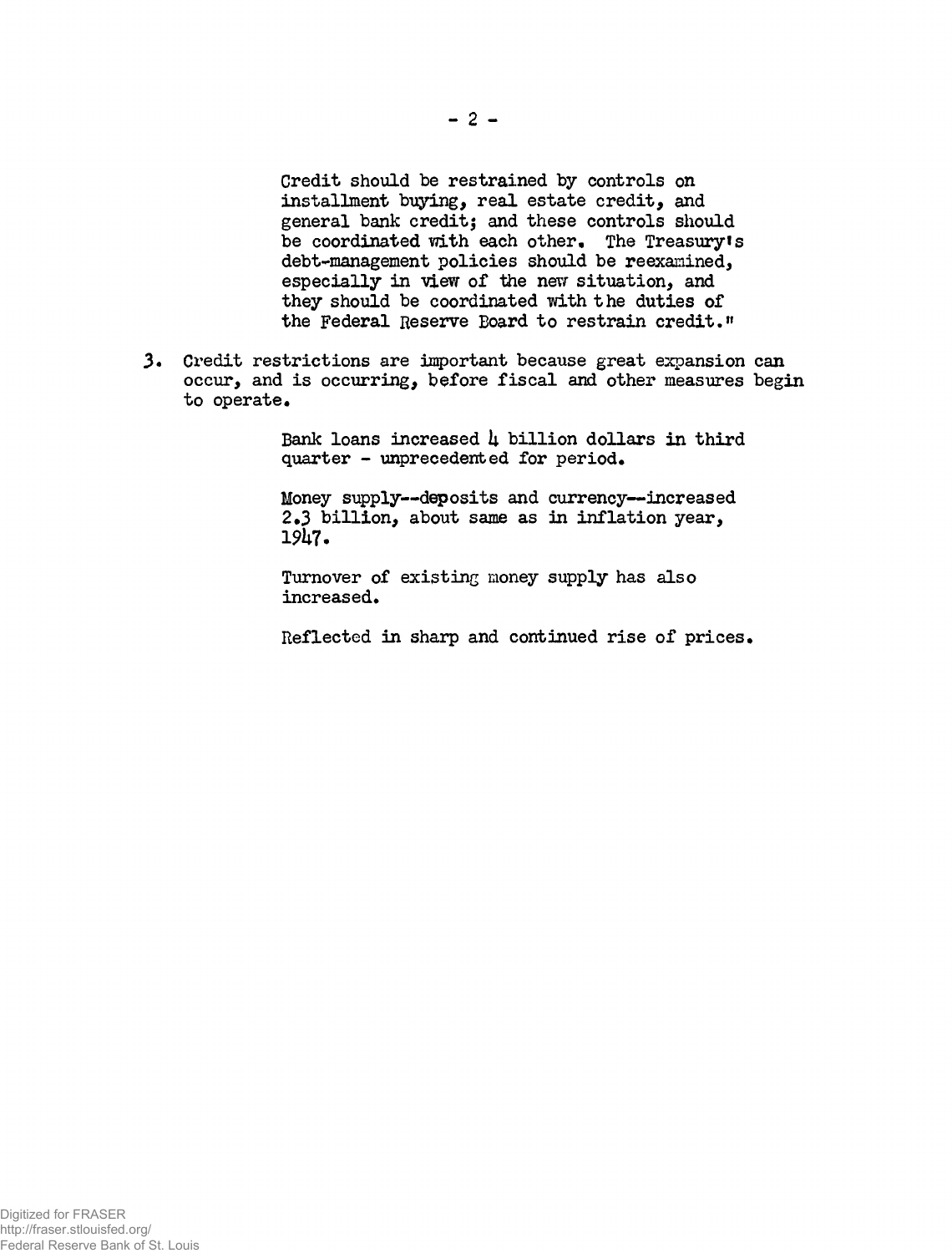Credit should be restrained by controls on installment buying, real estate credit, and general bank creditj and these controls should be coordinated with each other. The Treasury's debt-management policies should be reexanined, especially in view of the new situation, and they should be coordinated with the duties of the Federal Reserve Board to restrain credit."

Credit restrictions are important because great expansion can occur, and is occurring, before fiscal and other measures begin to operate.

> Bank loans increased  $\mu$  billion dollars in third  $quarter - unprecedented for period.$

Money supply—deposits and currency—increased 2.3 billion, about same as in inflation year, 19k7.

Turnover of existing money supply has also increased.

Reflected in sharp and continued rise of prices.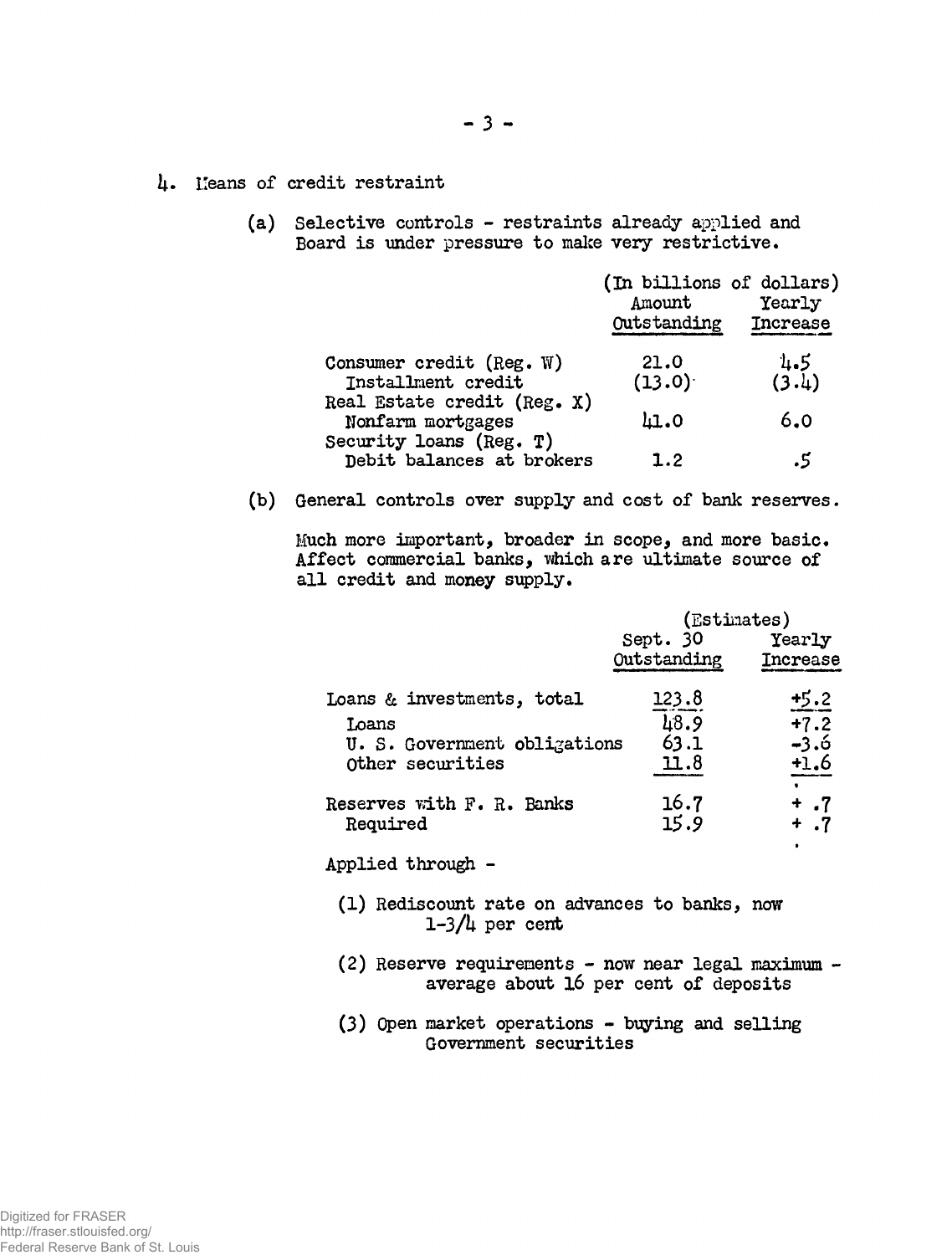- 4. Leans of credit restraint
	- (a) Selective controls restraints already applied and Board is under pressure to make very restrictive.

|                                                      | (In billions of dollars)<br>Amount<br>Outstanding | Yearly<br><b>Increase</b> |
|------------------------------------------------------|---------------------------------------------------|---------------------------|
| Consumer credit (Reg. $W$ )<br>Installment credit    | 21.0<br>(13.0)                                    | 1.5<br>(3.4)              |
| Real Estate credit (Reg. X)<br>Nonfarm mortgages     | 41.0                                              | 6.0                       |
| Security loans (Reg. T)<br>Debit balances at brokers | 1.2                                               | .5                        |

(b) General controls over supply and cost of bank reserves.

Much more important, broader in scope, and more basic. Affect commercial banks, which are ultimate source of all credit and money supply.

|                              | (Estimates)             |                    |
|------------------------------|-------------------------|--------------------|
|                              | Sept. 30<br>Outstanding | Yearly<br>Increase |
| Loans & investments, total   | 123.8                   | $+5.2$             |
| Toans                        | 48.9                    | $+7.2$             |
| U. S. Government obligations | 63.1                    | -3.6               |
| Other securities             | 11.8                    | $+1.6$             |
| Reserves with F. R. Banks    | 16.7                    | +.7                |
| Required                     | 15.9                    | + .7               |
| Applied through              |                         |                    |

- (1) Rediscount rate on advances to banks, now  $1-3/4$  per cent
- (2) Reserve requirements now near legal maximum average about 16 per cent of deposits
- (3) Open market operations buying and selling Government securities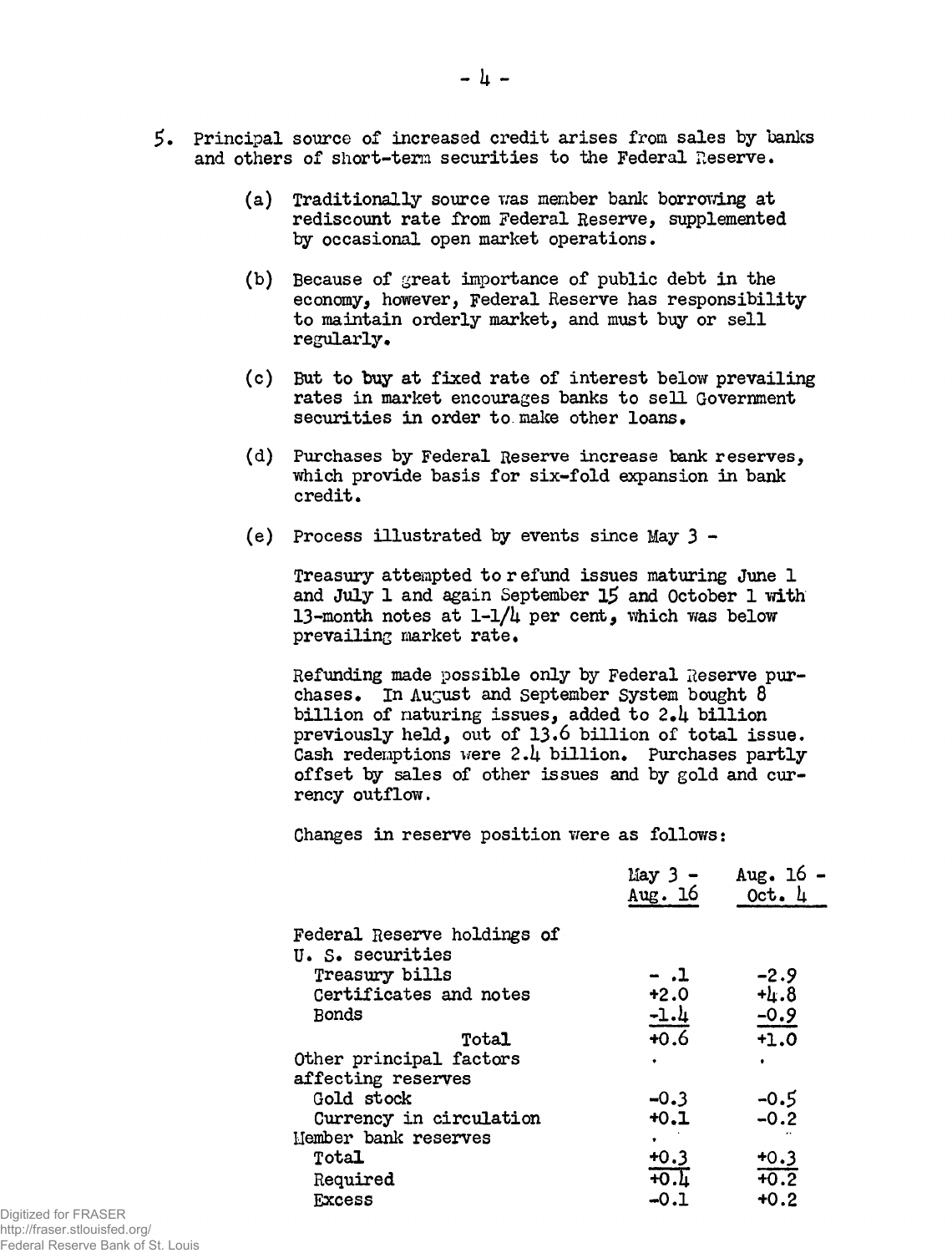- \$. Principal source of increased credit arises from sales by banks and others of short-term securities to the Federal Reserve.
	- $(a)$  Traditionally source was member bank borrowing at rediscount rate from Federal Reserve, supplemented by occasional open market operations.
	- (b) Because of great importance of public debt in the economy, however, Federal Reserve has responsibility to maintain orderly market, and must buy or sell regularly.
	- (c) But to buy at fixed rate of interest below prevailing rates in market encourages banks to sell Government securities in order to make other loans.
	- (d) Purchases by Federal Reserve increase bank reserves, which provide basis for six-fold expansion in bank credit.
	- (e) Process illustrated by events since May 3 -

Treasury attempted to r efund issues maturing June 1 and July 1 and again September 15 and October 1 with 13-month notes at  $1-1/4$  per cent, which was below prevailing market rate.

Refunding made possible only by Federal Reserve purchases. In August and September System bought  $8$ billion of maturing issues, added to  $2.4$  billion previously held, out of 13.6 billion of total issue. Cash redemptions were  $2.4$  billion. Purchases partly offset by sales of other issues and by gold and currency outflow.

Changes in reserve position were as follows:

|                                                                                             | May 3 -<br>Aug. 16              | Aug. $16 -$<br>Oct. 4      |
|---------------------------------------------------------------------------------------------|---------------------------------|----------------------------|
| Federal Reserve holdings of<br>U. S. securities<br>Treasury bills<br>Certificates and notes | - .1<br>$+2.0$                  | $-2.9$<br>$+1.8$           |
| <b>Bonds</b><br>Total<br>Other principal factors                                            | $-1.4$<br>$+0.6$<br>٠           | $-0.9$<br>$+1.0$           |
| affecting reserves<br>Gold stock<br>Currency in circulation<br>Hember bank reserves         | $-0.3$<br>$+0.1$                | $-0.5$<br>$-0.2$           |
| Total<br>Required<br><b>Excess</b>                                                          | $+0.3$<br><b>40.L</b><br>$-0.1$ | $+0.3$<br>$+0.2$<br>$+0.2$ |

Digitized for FRASER http://fraser.stlouisfed.org/ Federal Reserve Bank of St. Louis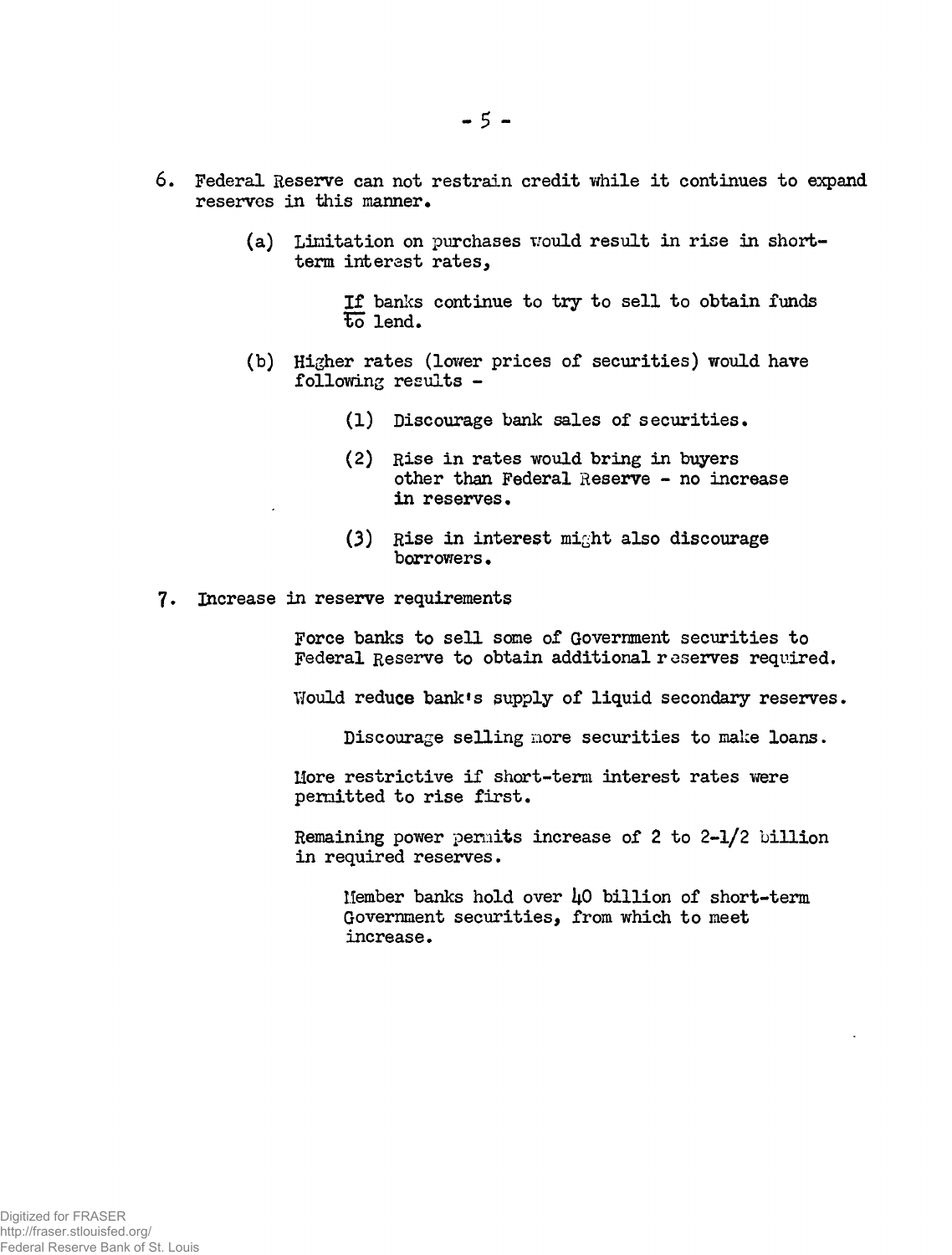- 6. Federal Reserve can not restrain credit while it continues to expand reserves in this manner.
	- (a) Limitation on purchases would result in rise in shortterm interest rates,

If banks continue to try to sell to obtain funds  $\overline{\text{to}}$  lend.

- (b) Higher rates (lower prices of securities) would have following results -
	- (1) Discourage bank sales of securities.
	- (2) Rise in rates would bring in buyers other than Federal Reserve - no increase in reserves.
	- (3) Rise in interest might also discourage borrowers.
- 7. Increase in reserve requirements

Force banks to sell some of Government securities to Federal Reserve to obtain additional reserves required.

Would reduce bank's supply of liquid secondary reserves.

Discourage selling more securities to make loans.

More restrictive if short-term interest rates were permitted to rise first.

Remaining power permits increase of 2 to 2-1/2 billion in required reserves.

Member banks hold over  $\mu$ O billion of short-term Government securities, from which to meet increase.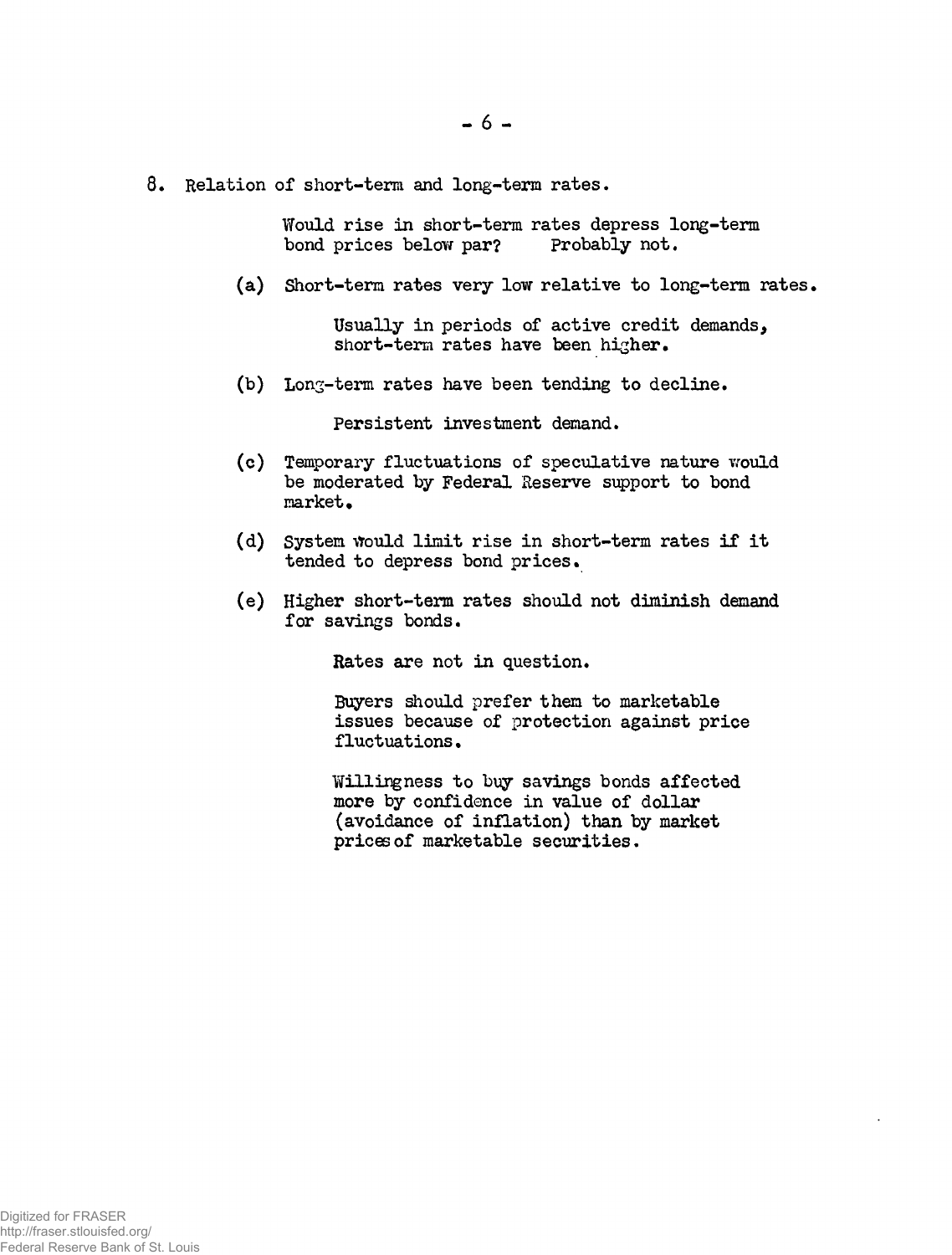8. Relation of short-term and long-term rates.

Would rise in short-term rates depress long-term bond prices below par? Probably not.

(a) Short-term rates very low relative to long-term rates,

Usually in periods of active credit demands, short-term rates have been higher.

(b) Long-term rates have been tending to decline.

Persistent investment demand.

- (c) Temporary fluctuations of speculative nature would be moderated by Federal Reserve support to bond market.
- (d) System would limit rise in short-term rates if it tended to depress bond prices.
- (e) Higher short-term rates should not diminish demand for savings bonds.

Rates are not in question.

Buyers should prefer them to marketable issues because of protection against price fluctuations.

Willingness to buy savings bonds affected more by confidence in value of dollar (avoidance of inflation) than by market prices of marketable securities.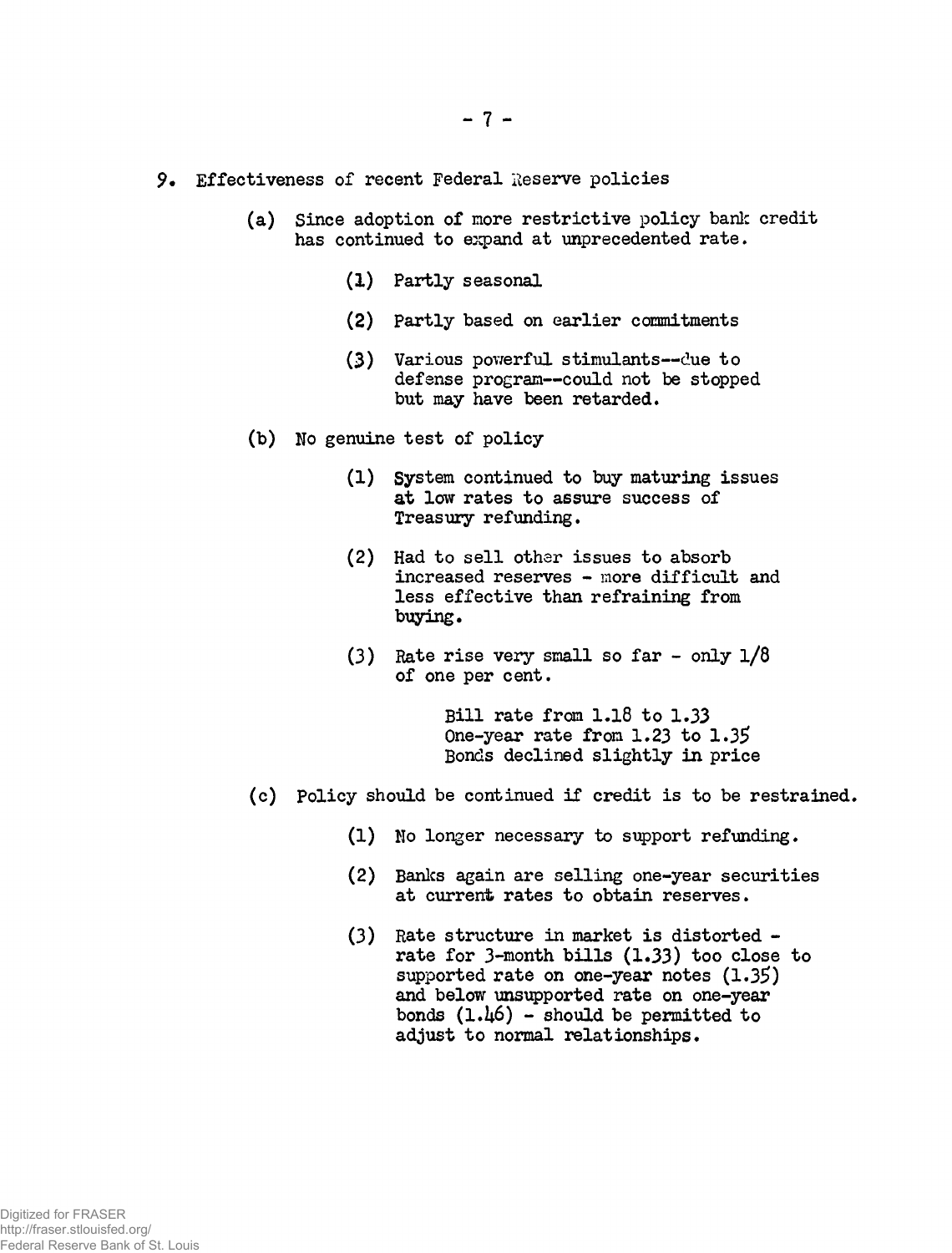- 9. Effectiveness of recent Federal Reserve policies
	- (a) Since adoption of more restrictive policy bank credit has continued to expand at unprecedented rate.
		- (1) Partly seasonal
		- (2) Partly based on earlier commitments
		- (3) Various powerful stimulants—due to defense program—could not be stopped but may have been retarded.
	- (b) No genuine test of policy
		- (1) System continued to buy maturing issues at low rates to assure success of Treasury refunding,
		- (2) Had to sell other issues to absorb increased reserves - more difficult and less effective than refraining from buying.
		- (3) Rate rise very small so far only  $1/8$ of one per cent.

Bill rate from 1.18 to 1.33 One-year rate from 1.23 to 1.35 Bonds declined slightly in price

- (c) Policy should be continued if credit is to be restrained.
	- (1) No longer necessary to support refunding.
	- (2) Banks again are selling one-year securities at current rates to obtain reserves.
	- (3) Rate structure in market is distorted rate for  $3$ -month bills  $(1.33)$  too close to supported rate on one-year notes  $(1.35)$ and below unsupported rate on one-year bonds  $(1.46)$  - should be permitted to adjust to normal relationships.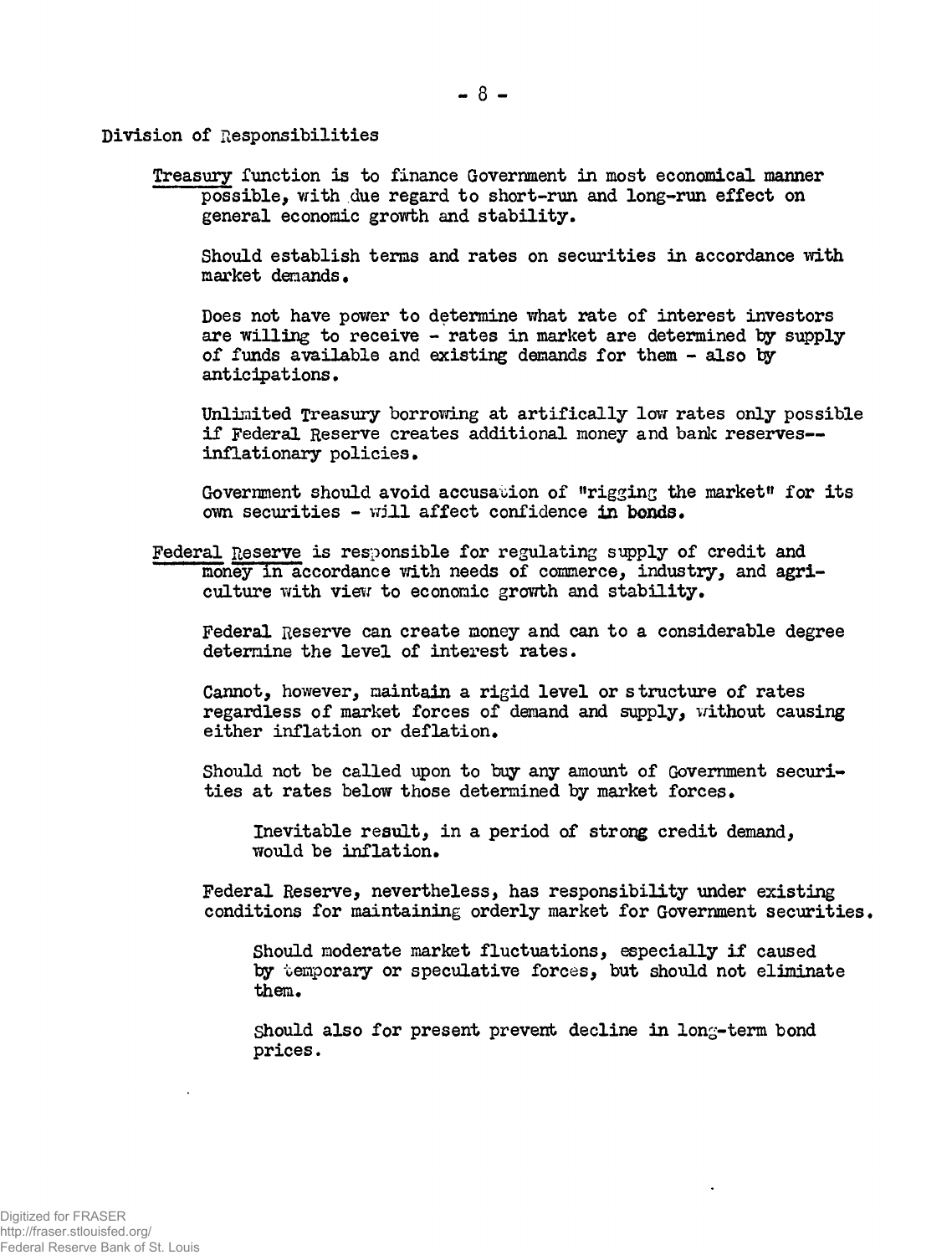Division of Responsibilities

Treasury function is to finance Government in most economical manner possible, with due regard to short-run and long-run effect on general economic growth and stability.

Should establish terms and rates on securities in accordance with market demands.

Does not have power to determine what rate of interest investors are willing to receive - rates in market are determined by supply of funds available and existing demands for them - also ty anticipations.

Unlimited Treasury borrowing at artifically low rates only possible if Federal Reserve creates additional money and bank reserves inflationary policies.

Government should avoid accusation of "rigging the market" for its own securities - will affect confidence in bonds.

Federal Reserve is resioonsible for regulating supply of credit and money in accordance with needs of commerce, industry, and agriculture with view to economic growth and stability.

Federal Reserve can create money and can to a considerable degree determine the level of interest rates.

Cannot, however, maintain a rigid level or structure of rates regardless of market forces of demand and supply, without causing either inflation or deflation.

Should not be called upon to buy any amount of Government securities at rates below those determined by market forces.

Inevitable result, in a period of strong credit demand, would be inflation.

Federal Reserve, nevertheless, has responsibility under existing conditions for maintaining orderly market for Government securities.

Should moderate market fluctuations, especially if caused by temporary or speculative forces, but should not eliminate them.

Should also for present prevent decline in long-term bond prices.